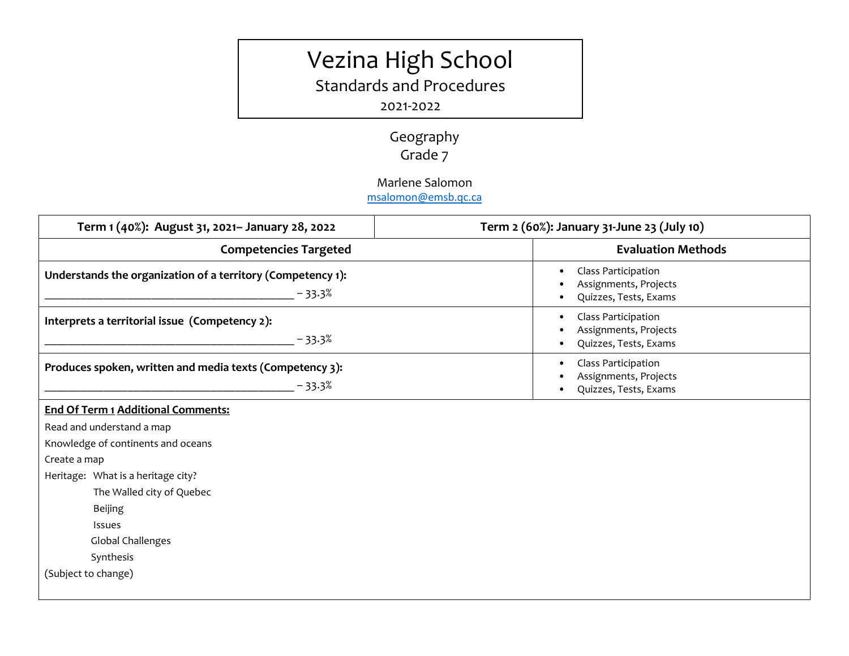## Vezina High School

Standards and Procedures

2021-2022

Geography Grade 7

Marlene Salomon

[msalomon@emsb.qc.ca](http://?)

| Term 1 (40%): August 31, 2021- January 28, 2022                         | Term 2 (60%): January 31-June 23 (July 10)                                         |
|-------------------------------------------------------------------------|------------------------------------------------------------------------------------|
| <b>Competencies Targeted</b>                                            | <b>Evaluation Methods</b>                                                          |
| Understands the organization of a territory (Competency 1):<br>$-33.3%$ | Class Participation<br>$\bullet$<br>Assignments, Projects<br>Quizzes, Tests, Exams |
| Interprets a territorial issue (Competency 2):<br>$-33.3%$              | Class Participation<br>Assignments, Projects<br>Quizzes, Tests, Exams              |
| Produces spoken, written and media texts (Competency 3):<br>$-33.3%$    | Class Participation<br>Assignments, Projects<br>Quizzes, Tests, Exams              |
| <b>End Of Term 1 Additional Comments:</b>                               |                                                                                    |
| Read and understand a map                                               |                                                                                    |
| Knowledge of continents and oceans                                      |                                                                                    |
| Create a map                                                            |                                                                                    |
| Heritage: What is a heritage city?                                      |                                                                                    |
| The Walled city of Quebec                                               |                                                                                    |
| <b>Beijing</b>                                                          |                                                                                    |
| Issues                                                                  |                                                                                    |
| Global Challenges                                                       |                                                                                    |
| Synthesis                                                               |                                                                                    |
| (Subject to change)                                                     |                                                                                    |